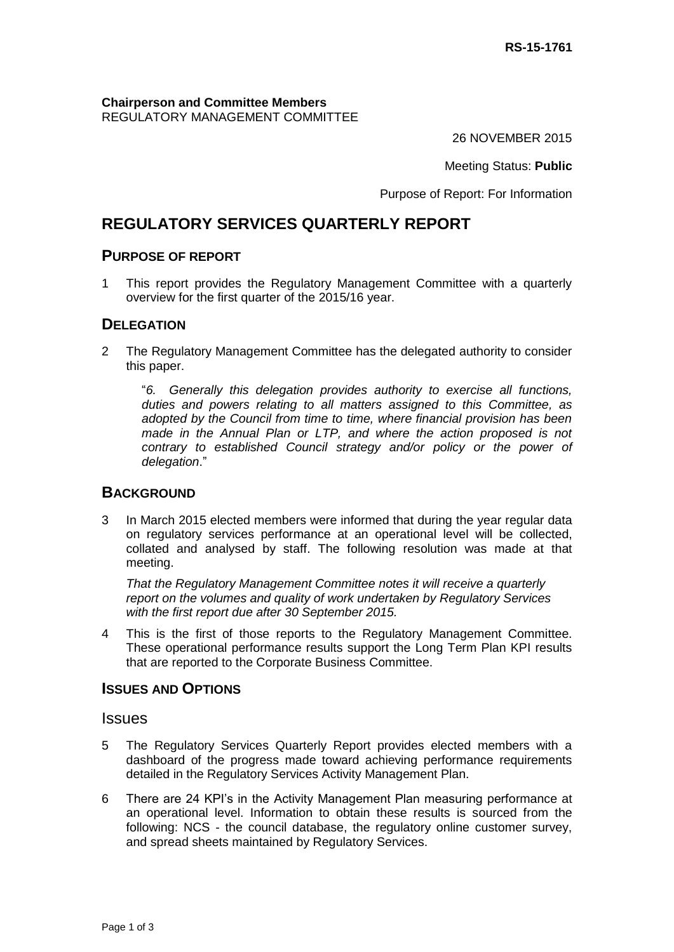**Chairperson and Committee Members** REGULATORY MANAGEMENT COMMITTEE

26 NOVEMBER 2015

Meeting Status: **Public**

Purpose of Report: For Information

# **REGULATORY SERVICES QUARTERLY REPORT**

#### **PURPOSE OF REPORT**

1 This report provides the Regulatory Management Committee with a quarterly overview for the first quarter of the 2015/16 year.

#### **DELEGATION**

2 The Regulatory Management Committee has the delegated authority to consider this paper.

"*6. Generally this delegation provides authority to exercise all functions, duties and powers relating to all matters assigned to this Committee, as adopted by the Council from time to time, where financial provision has been made in the Annual Plan or LTP, and where the action proposed is not contrary to established Council strategy and/or policy or the power of delegation*."

#### **BACKGROUND**

3 In March 2015 elected members were informed that during the year regular data on regulatory services performance at an operational level will be collected, collated and analysed by staff. The following resolution was made at that meeting.

*That the Regulatory Management Committee notes it will receive a quarterly report on the volumes and quality of work undertaken by Regulatory Services with the first report due after 30 September 2015.*

4 This is the first of those reports to the Regulatory Management Committee. These operational performance results support the Long Term Plan KPI results that are reported to the Corporate Business Committee.

#### **ISSUES AND OPTIONS**

**Issues** 

- 5 The Regulatory Services Quarterly Report provides elected members with a dashboard of the progress made toward achieving performance requirements detailed in the Regulatory Services Activity Management Plan.
- 6 There are 24 KPI's in the Activity Management Plan measuring performance at an operational level. Information to obtain these results is sourced from the following: NCS - the council database, the regulatory online customer survey, and spread sheets maintained by Regulatory Services.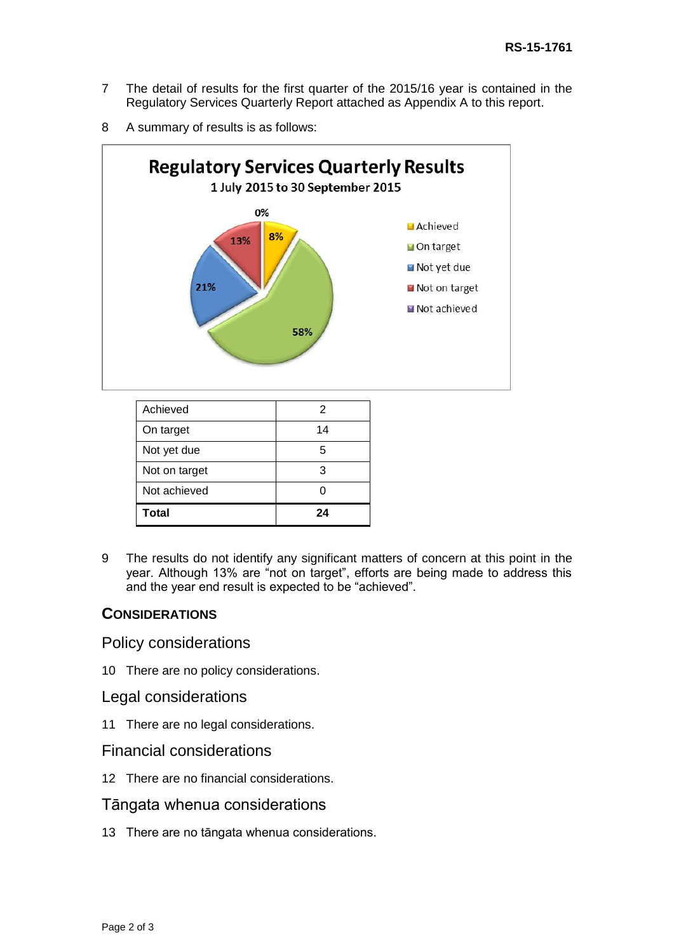- 7 The detail of results for the first quarter of the 2015/16 year is contained in the Regulatory Services Quarterly Report attached as Appendix A to this report.
- 8 A summary of results is as follows:



| Achieved      | 2  |
|---------------|----|
| On target     | 14 |
| Not yet due   | 5  |
| Not on target | 3  |
| Not achieved  |    |
| <b>Total</b>  | 24 |

9 The results do not identify any significant matters of concern at this point in the year. Although 13% are "not on target", efforts are being made to address this and the year end result is expected to be "achieved".

### **CONSIDERATIONS**

#### Policy considerations

10 There are no policy considerations.

#### Legal considerations

11 There are no legal considerations.

## Financial considerations

12 There are no financial considerations.

#### Tāngata whenua considerations

13 There are no tāngata whenua considerations.